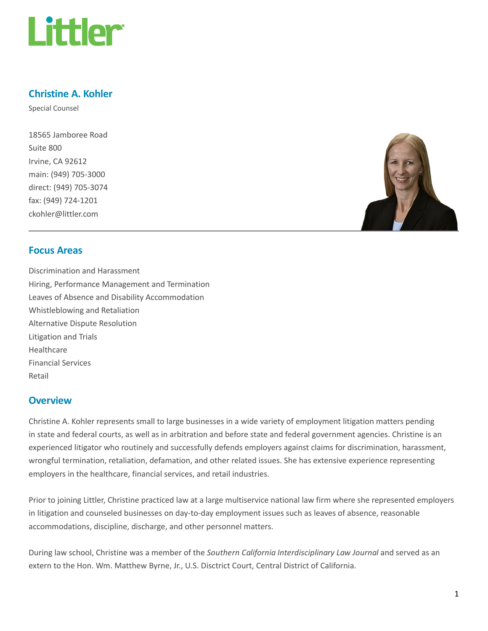

## Christine A. Kohler

Special Counsel

18565 Jamboree Road Suite 800 Irvine, CA 92612 main: (949) 705-3000 direct: (949) 705-3074 fax: (949) 724-1201 ckohler@littler.com



## Focus Areas

Discrimination and Harassment Hiring, Performance Management and Termination Leaves of Absence and Disability Accommodation Whistleblowing and Retaliation Alternative Dispute Resolution Litigation and Trials Healthcare Financial Services Retail

#### **Overview**

Christine A. Kohler represents small to large businesses in a wide variety of employment litigation matters pending in state and federal courts, as well as in arbitration and before state and federal government agencies. Christine is an experienced litigator who routinely and successfully defends employers against claims for discrimination, harassment, wrongful termination, retaliation, defamation, and other related issues. She has extensive experience representing employers in the healthcare, financial services, and retail industries.

Prior to joining Littler, Christine practiced law at a large multiservice national law firm where she represented employers in litigation and counseled businesses on day-to-day employment issues such as leaves of absence, reasonable accommodations, discipline, discharge, and other personnel matters.

During law school, Christine was a member of the Southern California Interdisciplinary Law Journal and served as an extern to the Hon. Wm. Matthew Byrne, Jr., U.S. Disctrict Court, Central District of California.